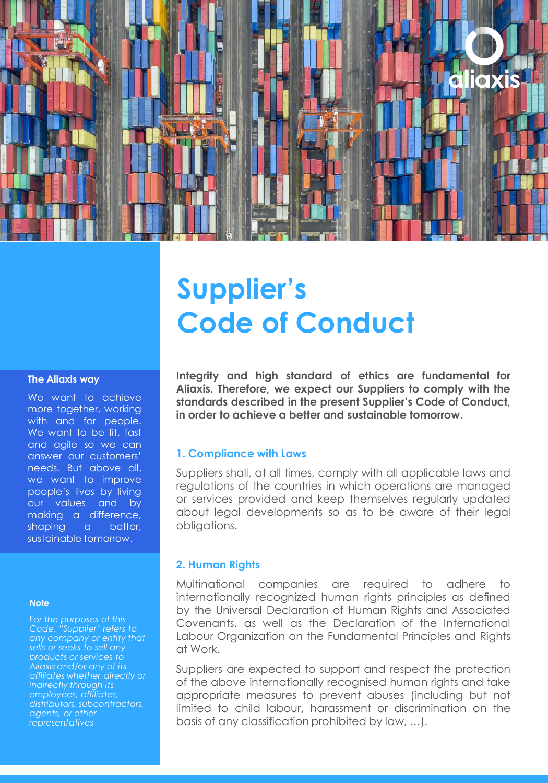

# **Supplier's Code of Conduct**

#### **The Aliaxis way**

We want to achieve more together, working with and for people. We want to be fit, fast and agile so we can answer our customers' needs. But above all, we want to improve people's lives by living our values and by making a difference, shaping a better, sustainable tomorrow.

#### *Note*

*For the purposes of this Code, "Supplier" refers to any company or entity that sells or seeks to sell any products or services to affiliates whether directly or indirectly through its employees, affiliates, distributors, subcontractors, agents, or other representatives*

**Integrity and high standard of ethics are fundamental for Aliaxis. Therefore, we expect our Suppliers to comply with the standards described in the present Supplier's Code of Conduct, in order to achieve a better and sustainable tomorrow.**

#### **1. Compliance with Laws**

Suppliers shall, at all times, comply with all applicable laws and regulations of the countries in which operations are managed or services provided and keep themselves regularly updated about legal developments so as to be aware of their legal obligations.

#### **2. Human Rights**

Multinational companies are required to adhere to internationally recognized human rights principles as defined by the Universal Declaration of Human Rights and Associated Covenants, as well as the Declaration of the International Labour Organization on the Fundamental Principles and Rights at Work.

Suppliers are expected to support and respect the protection of the above internationally recognised human rights and take appropriate measures to prevent abuses (including but not limited to child labour, harassment or discrimination on the basis of any classification prohibited by law, …).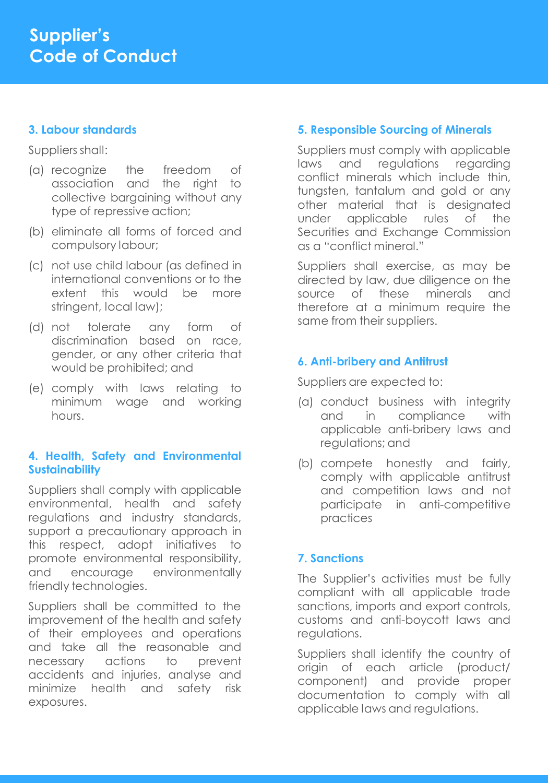#### **3. Labour standards**

Suppliers shall:

- (a) recognize the freedom of association and the right to collective bargaining without any type of repressive action;
- (b) eliminate all forms of forced and compulsory labour;
- (c) not use child labour (as defined in international conventions or to the extent this would be more stringent, local law);
- (d) not tolerate any form of discrimination based on race, gender, or any other criteria that would be prohibited; and
- (e) comply with laws relating to minimum wage and working hours.

### **4. Health, Safety and Environmental Sustainability**

Suppliers shall comply with applicable environmental, health and safety regulations and industry standards, support a precautionary approach in this respect, adopt initiatives to promote environmental responsibility, and encourage environmentally friendly technologies.

Suppliers shall be committed to the improvement of the health and safety of their employees and operations and take all the reasonable and necessary actions to prevent accidents and injuries, analyse and minimize health and safety risk exposures.

## **5. Responsible Sourcing of Minerals**

Suppliers must comply with applicable laws and regulations regarding conflict minerals which include thin, tungsten, tantalum and gold or any other material that is designated under applicable rules of the Securities and Exchange Commission as a "conflict mineral."

Suppliers shall exercise, as may be directed by law, due diligence on the source of these minerals and therefore at a minimum require the same from their suppliers.

# **6. Anti-bribery and Antitrust**

Suppliers are expected to:

- (a) conduct business with integrity and in compliance with applicable anti-bribery laws and regulations; and
- (b) compete honestly and fairly, comply with applicable antitrust and competition laws and not participate in anti-competitive practices

# **7. Sanctions**

The Supplier's activities must be fully compliant with all applicable trade sanctions, imports and export controls, customs and anti-boycott laws and regulations.

Suppliers shall identify the country of origin of each article (product/ component) and provide proper documentation to comply with all applicable laws and regulations.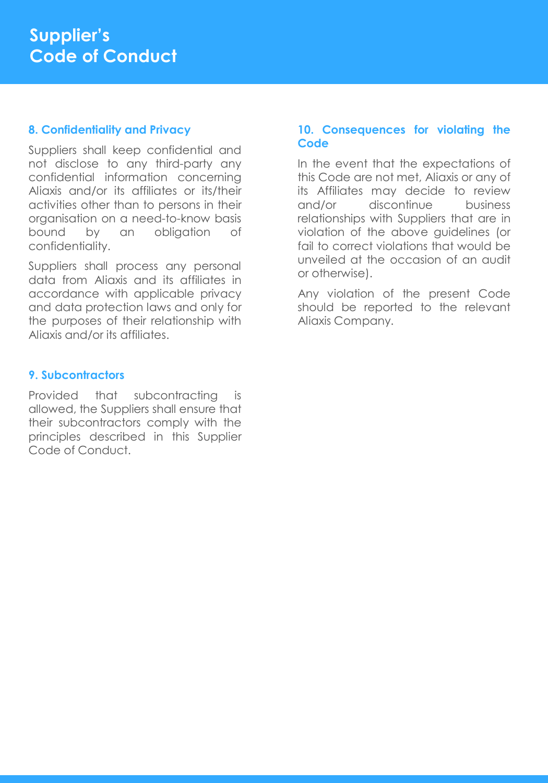#### **8. Confidentiality and Privacy**

Suppliers shall keep confidential and not disclose to any third-party any confidential information concerning Aliaxis and/or its affiliates or its/their activities other than to persons in their organisation on a need-to-know basis bound by an obligation of confidentiality.

Suppliers shall process any personal data from Aliaxis and its affiliates in accordance with applicable privacy and data protection laws and only for the purposes of their relationship with Aliaxis and/or its affiliates.

### **9. Subcontractors**

Provided that subcontracting is allowed, the Suppliers shall ensure that their subcontractors comply with the principles described in this Supplier Code of Conduct.

### **10. Consequences for violating the Code**

In the event that the expectations of this Code are not met, Aliaxis or any of its Affiliates may decide to review and/or discontinue business relationships with Suppliers that are in violation of the above guidelines (or fail to correct violations that would be unveiled at the occasion of an audit or otherwise).

Any violation of the present Code should be reported to the relevant Aliaxis Company.